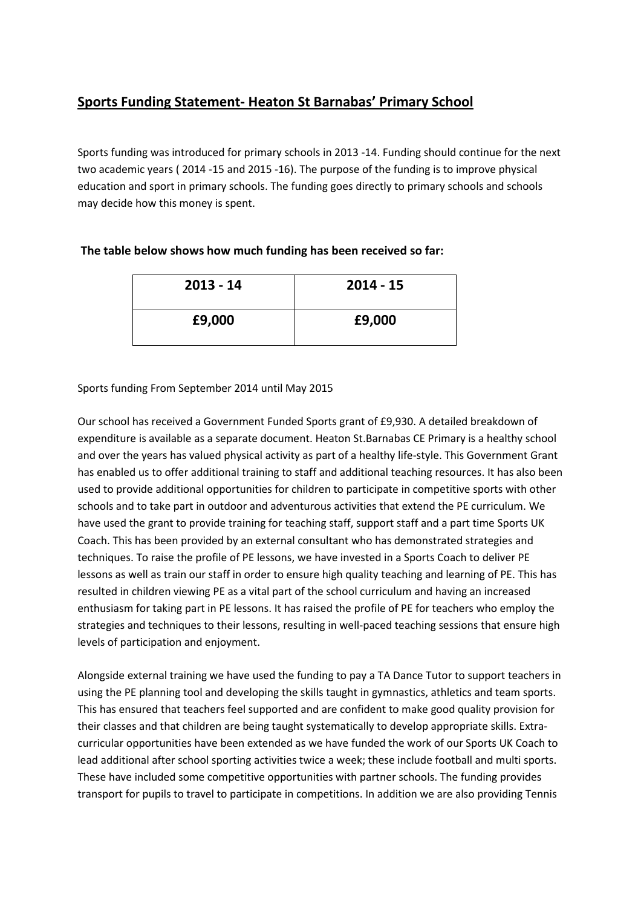# **Sports Funding Statement- Heaton St Barnabas' Primary School**

Sports funding was introduced for primary schools in 2013 -14. Funding should continue for the next two academic years ( 2014 -15 and 2015 -16). The purpose of the funding is to improve physical education and sport in primary schools. The funding goes directly to primary schools and schools may decide how this money is spent.

# **The table below shows how much funding has been received so far:**

| $2013 - 14$ | $2014 - 15$ |
|-------------|-------------|
| £9,000      | £9,000      |

## Sports funding From September 2014 until May 2015

Our school has received a Government Funded Sports grant of £9,930. A detailed breakdown of expenditure is available as a separate document. Heaton St.Barnabas CE Primary is a healthy school and over the years has valued physical activity as part of a healthy life-style. This Government Grant has enabled us to offer additional training to staff and additional teaching resources. It has also been used to provide additional opportunities for children to participate in competitive sports with other schools and to take part in outdoor and adventurous activities that extend the PE curriculum. We have used the grant to provide training for teaching staff, support staff and a part time Sports UK Coach. This has been provided by an external consultant who has demonstrated strategies and techniques. To raise the profile of PE lessons, we have invested in a Sports Coach to deliver PE lessons as well as train our staff in order to ensure high quality teaching and learning of PE. This has resulted in children viewing PE as a vital part of the school curriculum and having an increased enthusiasm for taking part in PE lessons. It has raised the profile of PE for teachers who employ the strategies and techniques to their lessons, resulting in well-paced teaching sessions that ensure high levels of participation and enjoyment.

Alongside external training we have used the funding to pay a TA Dance Tutor to support teachers in using the PE planning tool and developing the skills taught in gymnastics, athletics and team sports. This has ensured that teachers feel supported and are confident to make good quality provision for their classes and that children are being taught systematically to develop appropriate skills. Extracurricular opportunities have been extended as we have funded the work of our Sports UK Coach to lead additional after school sporting activities twice a week; these include football and multi sports. These have included some competitive opportunities with partner schools. The funding provides transport for pupils to travel to participate in competitions. In addition we are also providing Tennis